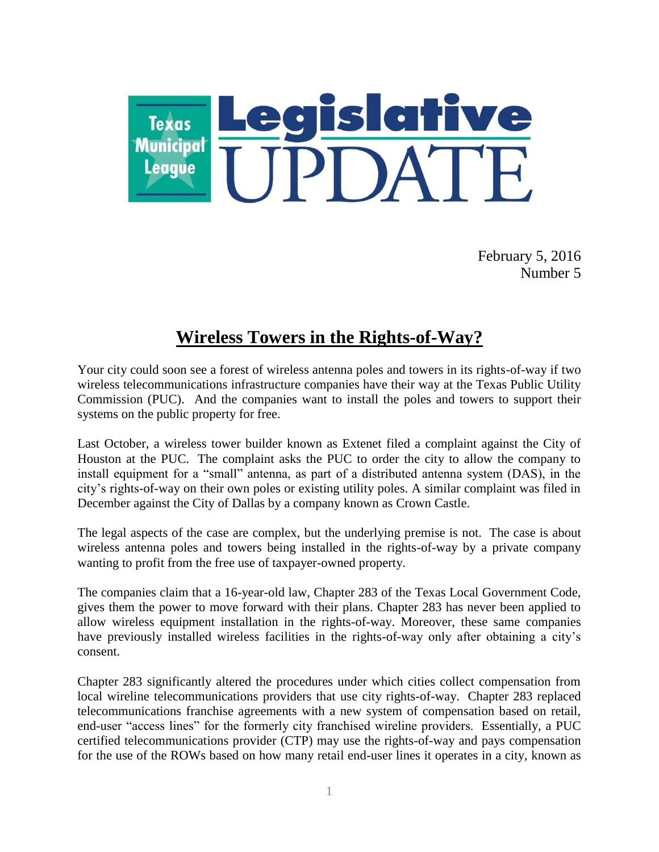

February 5, 2016 Number 5

## **Wireless Towers in the Rights-of-Way?**

Your city could soon see a forest of wireless antenna poles and towers in its rights-of-way if two wireless telecommunications infrastructure companies have their way at the Texas Public Utility Commission (PUC). And the companies want to install the poles and towers to support their systems on the public property for free.

Last October, a wireless tower builder known as Extenet filed a complaint against the City of Houston at the PUC. The complaint asks the PUC to order the city to allow the company to install equipment for a "small" antenna, as part of a distributed antenna system (DAS), in the city's rights-of-way on their own poles or existing utility poles. A similar complaint was filed in December against the City of Dallas by a company known as Crown Castle.

The legal aspects of the case are complex, but the underlying premise is not. The case is about wireless antenna poles and towers being installed in the rights-of-way by a private company wanting to profit from the free use of taxpayer-owned property.

The companies claim that a 16-year-old law, Chapter 283 of the Texas Local Government Code, gives them the power to move forward with their plans. Chapter 283 has never been applied to allow wireless equipment installation in the rights-of-way. Moreover, these same companies have previously installed wireless facilities in the rights-of-way only after obtaining a city's consent.

Chapter 283 significantly altered the procedures under which cities collect compensation from local wireline telecommunications providers that use city rights-of-way. Chapter 283 replaced telecommunications franchise agreements with a new system of compensation based on retail, end-user "access lines" for the formerly city franchised wireline providers. Essentially, a PUC certified telecommunications provider (CTP) may use the rights-of-way and pays compensation for the use of the ROWs based on how many retail end-user lines it operates in a city, known as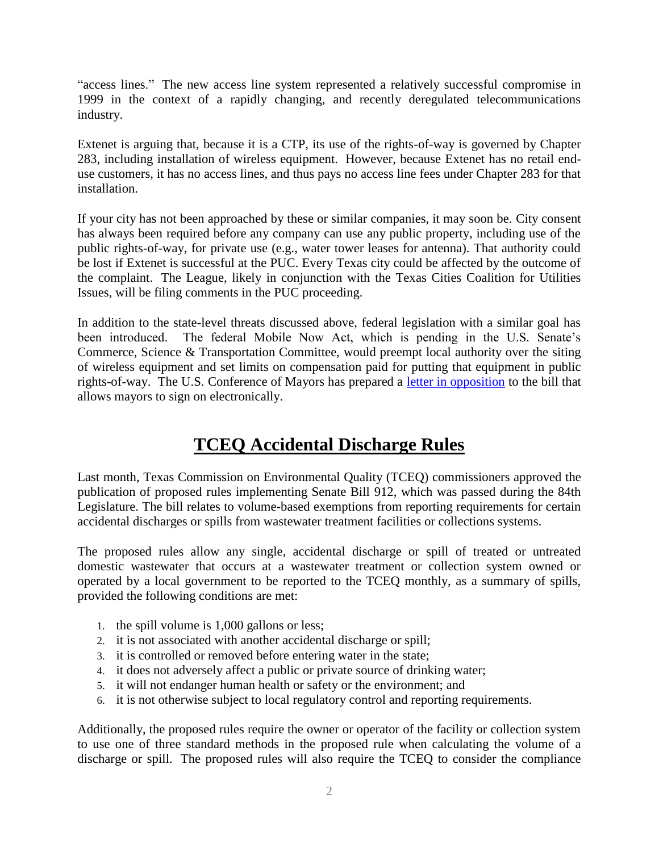"access lines." The new access line system represented a relatively successful compromise in 1999 in the context of a rapidly changing, and recently deregulated telecommunications industry.

Extenet is arguing that, because it is a CTP, its use of the rights-of-way is governed by Chapter 283, including installation of wireless equipment. However, because Extenet has no retail enduse customers, it has no access lines, and thus pays no access line fees under Chapter 283 for that installation.

If your city has not been approached by these or similar companies, it may soon be. City consent has always been required before any company can use any public property, including use of the public rights-of-way, for private use (e.g., water tower leases for antenna). That authority could be lost if Extenet is successful at the PUC. Every Texas city could be affected by the outcome of the complaint. The League, likely in conjunction with the Texas Cities Coalition for Utilities Issues, will be filing comments in the PUC proceeding.

In addition to the state-level threats discussed above, federal legislation with a similar goal has been introduced. The federal Mobile Now Act, which is pending in the U.S. Senate's Commerce, Science & Transportation Committee, would preempt local authority over the siting of wireless equipment and set limits on compensation paid for putting that equipment in public rights-of-way. The U.S. Conference of Mayors has prepared a [letter in opposition](http://usmayors.org/zoningsignonletter/) to the bill that allows mayors to sign on electronically.

## **TCEQ Accidental Discharge Rules**

Last month, Texas Commission on Environmental Quality (TCEQ) commissioners approved the publication of proposed rules implementing Senate Bill 912, which was passed during the 84th Legislature. The bill relates to volume-based exemptions from reporting requirements for certain accidental discharges or spills from wastewater treatment facilities or collections systems.

The proposed rules allow any single, accidental discharge or spill of treated or untreated domestic wastewater that occurs at a wastewater treatment or collection system owned or operated by a local government to be reported to the TCEQ monthly, as a summary of spills, provided the following conditions are met:

- 1. the spill volume is 1,000 gallons or less;
- 2. it is not associated with another accidental discharge or spill;
- 3. it is controlled or removed before entering water in the state;
- 4. it does not adversely affect a public or private source of drinking water;
- 5. it will not endanger human health or safety or the environment; and
- 6. it is not otherwise subject to local regulatory control and reporting requirements.

Additionally, the proposed rules require the owner or operator of the facility or collection system to use one of three standard methods in the proposed rule when calculating the volume of a discharge or spill. The proposed rules will also require the TCEQ to consider the compliance